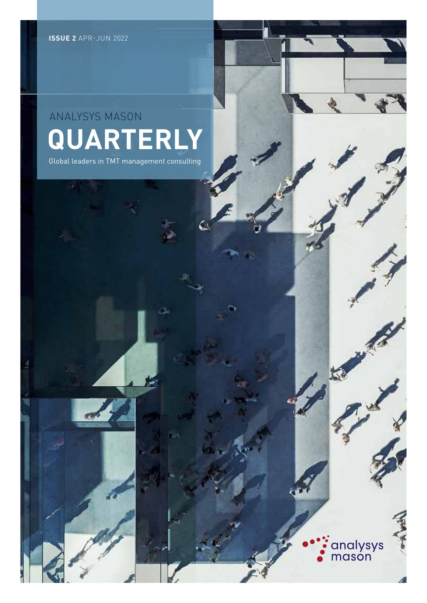## **QUARTERLY** ANALYSYS MASON

Global leaders in TMT management consulting

analysys<br>mason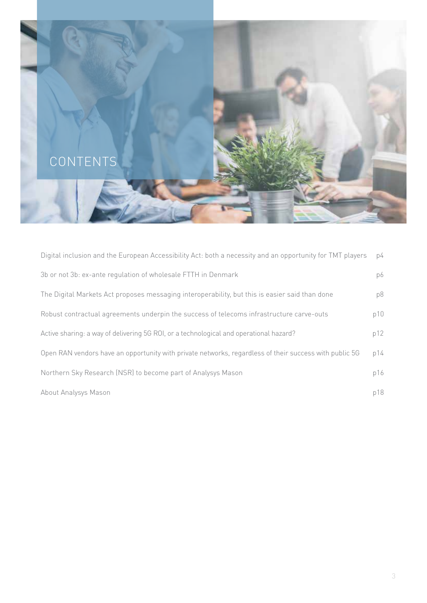

| Digital inclusion and the European Accessibility Act: both a necessity and an opportunity for TMT players | p4  |
|-----------------------------------------------------------------------------------------------------------|-----|
| 3b or not 3b: ex-ante regulation of wholesale FTTH in Denmark                                             | p6  |
| The Digital Markets Act proposes messaging interoperability, but this is easier said than done            | p8  |
| Robust contractual agreements underpin the success of telecoms infrastructure carve-outs                  | p10 |
| Active sharing: a way of delivering 5G ROI, or a technological and operational hazard?                    | p12 |
| Open RAN vendors have an opportunity with private networks, regardless of their success with public 5G    | p14 |
| Northern Sky Research (NSR) to become part of Analysys Mason                                              | p16 |
| About Analysys Mason                                                                                      | p18 |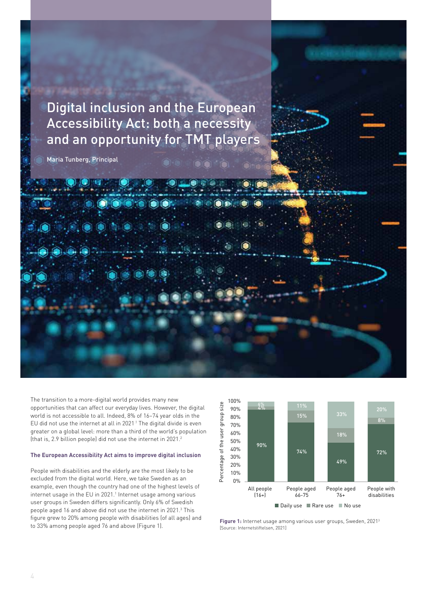Digital inclusion and the European Accessibility Act: both a necessity and an opportunity for TMT players

> 7 6

> 4

Number of APMs deployed (thousand)

Maria Tunberg, Principal

The transition to a more-digital world provides many new opportunities that can affect our everyday lives. However, the digital world is not accessible to all. Indeed, 8% of 16–74 year olds in the EU did not use the internet at all in 2021.1 The digital divide is even greater on a global level: more than a third of the world's population (that is, 2.9 billion people) did not use the internet in 2021.2

#### **The European Accessibility Act aims to improve digital inclusion**

People with disabilities and the elderly are the most likely to be excluded from the digital world. Here, we take Sweden as an example, even though the country had one of the highest levels of internet usage in the EU in 2021.<sup>1</sup> Internet usage among various user groups in Sweden differs significantly. Only 6% of Swedish people aged 16 and above did not use the internet in 2021.<sup>3</sup> This figure grew to 20% among people with disabilities (of all ages) and to 33% among people aged 76 and above (Figure 1).



 $\sim$ 

0

**jure 1:** Internet usage among various user groups, Sweden, 2021 $^3$ [Source: Internetstiftelsen, 2021]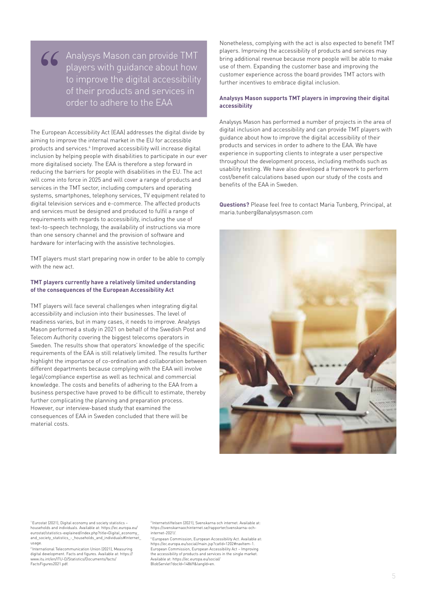Analysys Mason can provide TMT players with guidance about how to improve the digital accessibility of their products and services in order to adhere to the EAA <sup>"</sup>

The European Accessibility Act (EAA) addresses the digital divide by aiming to improve the internal market in the EU for accessible products and services.<sup>4</sup> Improved accessibility will increase digital inclusion by helping people with disabilities to participate in our ever more digitalised society. The EAA is therefore a step forward in reducing the barriers for people with disabilities in the EU. The act will come into force in 2025 and will cover a range of products and services in the TMT sector, including computers and operating systems, smartphones, telephony services, TV equipment related to digital television services and e-commerce. The affected products and services must be designed and produced to fulfil a range of requirements with regards to accessibility, including the use of text-to-speech technology, the availability of instructions via more than one sensory channel and the provision of software and hardware for interfacing with the assistive technologies.

TMT players must start preparing now in order to be able to comply with the new act.

#### **TMT players currently have a relatively limited understanding of the consequences of the European Accessibility Act**

TMT players will face several challenges when integrating digital accessibility and inclusion into their businesses. The level of readiness varies, but in many cases, it needs to improve. Analysys Mason performed a study in 2021 on behalf of the Swedish Post and Telecom Authority covering the biggest telecoms operators in Sweden. The results show that operators' knowledge of the specific requirements of the EAA is still relatively limited. The results further highlight the importance of co-ordination and collaboration between different departments because complying with the EAA will involve legal/compliance expertise as well as technical and commercial knowledge. The costs and benefits of adhering to the EAA from a business perspective have proved to be difficult to estimate, thereby further complicating the planning and preparation process. However, our interview-based study that examined the consequences of EAA in Sweden concluded that there will be material costs.

Nonetheless, complying with the act is also expected to benefit TMT players. Improving the accessibility of products and services may bring additional revenue because more people will be able to make use of them. Expanding the customer base and improving the customer experience across the board provides TMT actors with further incentives to embrace digital inclusion.

#### **Analysys Mason supports TMT players in improving their digital accessibility**

Analysys Mason has performed a number of projects in the area of digital inclusion and accessibility and can provide TMT players with guidance about how to improve the digital accessibility of their products and services in order to adhere to the EAA. We have experience in supporting clients to integrate a user perspective throughout the development process, including methods such as usability testing. We have also developed a framework to perform cost/benefit calculations based upon our study of the costs and benefits of the EAA in Sweden.

**Questions?** Please feel free to contact Maria Tunberg, Principal, at maria.tunberg@analysysmason.com



1 Eurostat (2021), Digital economy and society statistics – households and individuals. Available at: https://ec.europa.eu/ eurostat/statistics-explained/index.php?title=Digital\_economy\_ and\_society\_statistics\_-\_households\_and\_individuals#Internet\_ usage.

2 International Telecommunication Union (2021), Measuring digital development. Facts and figures. Available at: https:// www.itu.int/en/ITU-D/Statistics/Documents/facts/ FactsFigures2021.pdf.

3 Internetstiftelsen (2021), Svenskarna och internet. Available at: https://svenskarnaochinternet.se/rapporter/svenskarna-och-internet-2021/.

4 European Commission, European Accessibility Act. Available at: https://ec.europa.eu/social/main.jsp?catId=1202#navItem-1. European Commission, European Accessibility Act – Improving the accessibility of products and services in the single market. Available at: https://ec.europa.eu/social/ BlobServlet?docId=14869&langId=en.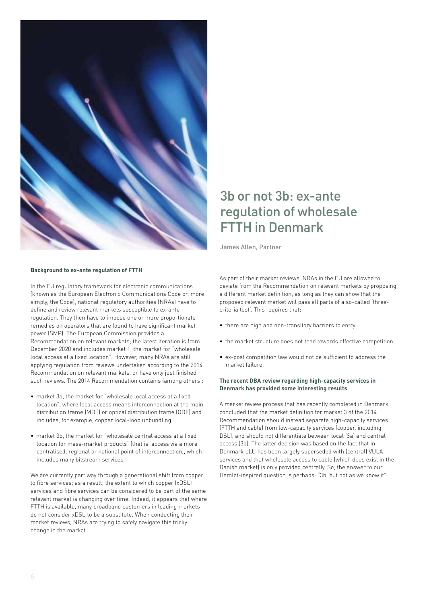

## 3b or not 3b: ex-ante regulation of wholesale FTTH in Denmark

James Allen, Partner 

#### **Background to ex-ante regulation of FTTH**

In the EU regulatory framework for electronic communications (known as the European Electronic Communications Code or, more simply, the Code), national regulatory authorities (NRAs) have to define and review relevant markets susceptible to ex-ante regulation. They then have to impose one or more proportionate remedies on operators that are found to have significant market power (SMP). The European Commission provides a Recommendation on relevant markets; the latest iteration is from December 2020 and includes market 1, the market for "wholesale local access at a fixed location". However, many NRAs are still applying regulation from reviews undertaken according to the 2014 Recommendation on relevant markets, or have only just finished such reviews. The 2014 Recommendation contains (among others):

- market 3a, the market for "wholesale local access at a fixed location", where local access means interconnection at the main distribution frame (MDF) or optical distribution frame (ODF) and includes, for example, copper local-loop unbundling
- market 3b, the market for "wholesale central access at a fixed location for mass-market products" (that is, access via a more centralised, regional or national point of interconnection), which includes many bitstream services.

We are currently part way through a generational shift from copper to fibre services; as a result, the extent to which copper (xDSL) services and fibre services can be considered to be part of the same relevant market is changing over time. Indeed, it appears that where FTTH is available, many broadband customers in leading markets do not consider xDSL to be a substitute. When conducting their market reviews, NRAs are trying to safely navigate this tricky change in the market.

As part of their market reviews, NRAs in the EU are allowed to deviate from the Recommendation on relevant markets by proposing a different market definition, as long as they can show that the proposed relevant market will pass all parts of a so-called 'threecriteria test'. This requires that:

- there are high and non-transitory barriers to entry
- the market structure does not tend towards effective competition
- ex-post competition law would not be sufficient to address the market failure.

#### **The recent DBA review regarding high-capacity services in Denmark has provided some interesting results**

A market review process that has recently completed in Denmark concluded that the market definition for market 3 of the 2014 Recommendation should instead separate high-capacity services (FTTH and cable) from low-capacity services (copper, including DSL), and should not differentiate between local (3a) and central access (3b). The latter decision was based on the fact that in Denmark LLU has been largely superseded with (central) VULA services and that wholesale access to cable (which does exist in the Danish market) is only provided centrally. So, the answer to our Hamlet-inspired question is perhaps: "3b, but not as we know it".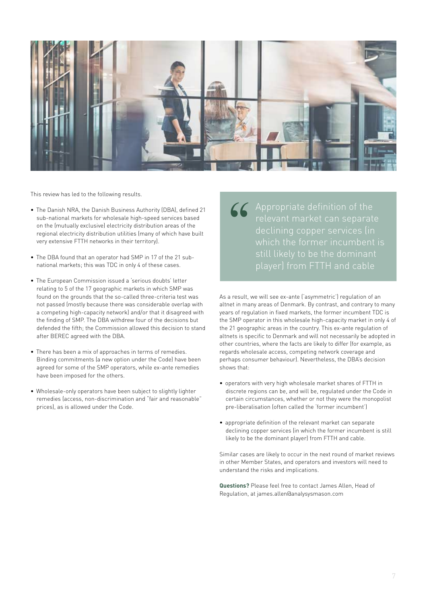

This review has led to the following results.

- The Danish NRA, the Danish Business Authority (DBA), defined 21 sub-national markets for wholesale high-speed services based on the (mutually exclusive) electricity distribution areas of the regional electricity distribution utilities (many of which have built very extensive FTTH networks in their territory). • The Danish NRA, the Danish Business Authority (DBA), defined 21<br>sub-national markets for wholesale high-speed services based<br>on the (mutually exclusive) electricity distribution areas of the<br>regional electricity distribu
	- The DBA found that an operator had SMP in 17 of the 21 subnational markets; this was TDC in only 4 of these cases.
	- The European Commission issued a 'serious doubts' letter relating to 5 of the 17 geographic markets in which SMP was found on the grounds that the so-called three-criteria test was not passed (mostly because there was considerable overlap with a competing high-capacity network) and/or that it disagreed with the finding of SMP. The DBA withdrew four of the decisions but defended the fifth; the Commission allowed this decision to stand after BEREC agreed with the DBA.
	- There has been a mix of approaches in terms of remedies. Binding commitments (a new option under the Code) have been agreed for some of the SMP operators, while ex-ante remedies have been imposed for the others.
	- Wholesale-only operators have been subject to slightly lighter remedies (access, non-discrimination and "fair and reasonable" prices), as is allowed under the Code.

Appropriate definition of the which the former incumbent is

As a result, we will see ex-ante ('asymmetric') regulation of an altnet in many areas of Denmark. By contrast, and contrary to many years of regulation in fixed markets, the former incumbent TDC is the SMP operator in this wholesale high-capacity market in only 4 of the 21 geographic areas in the country. This ex-ante regulation of altnets is specific to Denmark and will not necessarily be adopted in other countries, where the facts are likely to differ (for example, as regards wholesale access, competing network coverage and perhaps consumer behaviour). Nevertheless, the DBA's decision shows that:

- operators with very high wholesale market shares of FTTH in discrete regions can be, and will be, regulated under the Code in certain circumstances, whether or not they were the monopolist pre-liberalisation (often called the 'former incumbent')
- appropriate definition of the relevant market can separate declining copper services (in which the former incumbent is still likely to be the dominant player) from FTTH and cable.

Similar cases are likely to occur in the next round of market reviews in other Member States, and operators and investors will need to understand the risks and implications.

**Questions?** Please feel free to contact James Allen, Head of Regulation, at james.allen@analysysmason.com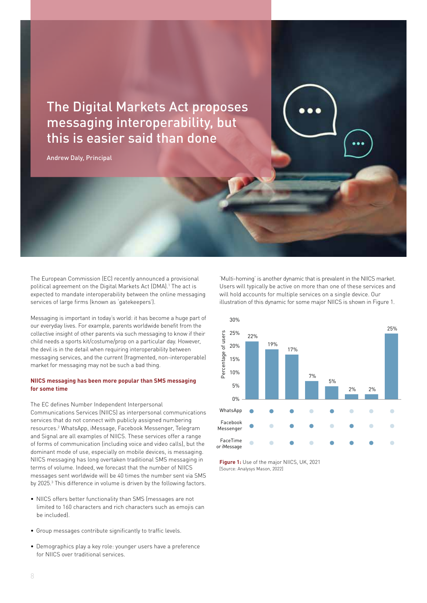The Digital Markets Act proposes messaging interoperability, but 3 this is easier said than done 4 |<br>|0<br>|

Andrew Daly, Principal

The European Commission (EC) recently announced a provisional political agreement on the Digital Markets Act (DMA).<sup>1</sup> The act is expected to mandate interoperability between the online messaging services of large firms (known as 'gatekeepers').

Messaging is important in today's world: it has become a huge part of our everyday lives. For example, parents worldwide benefit from the collective insight of other parents via such messaging to know if their child needs a sports kit/costume/prop on a particular day. However, the devil is in the detail when requiring interoperability between messaging services, and the current (fragmented, non-interoperable) market for messaging may not be such a bad thing.

#### **NIICS messaging has been more popular than SMS messaging for some time**

The EC defines Number Independent Interpersonal Communications Services (NIICS) as interpersonal communications services that do not connect with publicly assigned numbering resources.2 WhatsApp, iMessage, Facebook Messenger, Telegram and Signal are all examples of NIICS. These services offer a range of forms of communication (including voice and video calls), but the dominant mode of use, especially on mobile devices, is messaging. NIICS messaging has long overtaken traditional SMS messaging in terms of volume. Indeed, we forecast that the number of NIICS messages sent worldwide will be 40 times the number sent via SMS by 2025.<sup>3</sup> This difference in volume is driven by the following factors.

- NIICS offers better functionality than SMS (messages are not limited to 160 characters and rich characters such as emojis can be included).
- Group messages contribute significantly to traffic levels.
- Demographics play a key role: younger users have a preference for NIICS over traditional services.

'Multi-homing' is another dynamic that is prevalent in the NIICS market. Users will typically be active on more than one of these services and will hold accounts for multiple services on a single device. Our illustration of this dynamic for some major NIICS is shown in Figure 1. Percentage of the user group size

15%

APMs Culmulative capex 2021 2022 2023 2024 2025 2026 2027 2028

49%

18%



**Figure 1:** Use of the major NIICS, UK, 2021 [Source: Analysys Mason, 2022]

4%

70% 80%

100%

6% 11%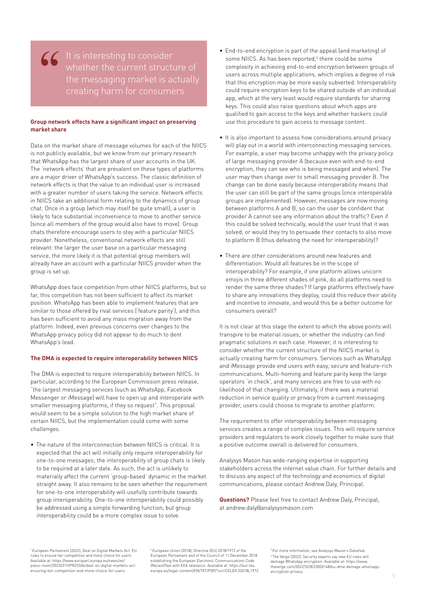It is interesting to consider the messaging market is actually <sup>"</sup>

#### **Group network effects have a significant impact on preserving market share**

Data on the market share of message volumes for each of the NIICS is not publicly available, but we know from our primary research that WhatsApp has the largest share of user accounts in the UK. The 'network effects' that are prevalent on these types of platforms are a major driver of WhatsApp's success. The classic definition of network effects is that the value to an individual user is increased with a greater number of users taking the service. Network effects in NIICS take an additional form relating to the dynamics of group chat. Once in a group (which may itself be quite small), a user is likely to face substantial inconvenience to move to another service (since all members of the group would also have to move). Group chats therefore encourage users to stay with a particular NIICS provider. Nonetheless, conventional network effects are still relevant: the larger the user base on a particular messaging service, the more likely it is that potential group members will already have an account with a particular NIICS provider when the group is set up.

WhatsApp does face competition from other NIICS platforms, but so far, this competition has not been sufficient to affect its market position. WhatsApp has been able to implement features that are similar to those offered by rival services ('feature parity'), and this has been sufficient to avoid any mass migration away from the platform. Indeed, even previous concerns over changes to the WhatsApp privacy policy did not appear to do much to dent WhatsApp's lead.

#### **The DMA is expected to require interoperability between NIICS**

The DMA is expected to require interoperability between NIICS. In particular, according to the European Commission press release, "the largest messaging services (such as WhatsApp, Facebook Messenger or iMessage) will have to open up and interoperate with smaller messaging platforms, if they so request". This proposal would seem to be a simple solution to the high market share of certain NIICS, but the implementation could come with some challenges.

• The nature of the interconnection between NIICS is critical. It is expected that the act will initially only require interoperability for one-to-one messages; the interoperability of group chats is likely to be required at a later date. As such, the act is unlikely to materially affect the current 'group-based' dynamic in the market straight away. It also remains to be seen whether the requirement for one-to-one interoperability will usefully contribute towards group interoperability. One-to-one interoperability could possibly be addressed using a simple forwarding function, but group interoperability could be a more complex issue to solve.

- End-to-end encryption is part of the appeal (and marketing) of some NIICS. As has been reported,<sup>4</sup> there could be some complexity in achieving end-to-end encryption between groups of users across multiple applications, which implies a degree of risk that this encryption may be more easily subverted. Interoperability could require encryption keys to be shared outside of an individual app, which at the very least would require standards for sharing keys. This could also raise questions about which apps are qualified to gain access to the keys and whether hackers could use this procedure to gain access to message content.
- It is also important to assess how considerations around privacy will play out in a world with interconnecting messaging services. For example, a user may become unhappy with the privacy policy of large messaging provider A (because even with end-to-end encryption, they can see who is being messaged and when). The user may then change over to small messaging provider B. The change can be done easily because interoperability means that the user can still be part of the same groups (once interoperable groups are implemented). However, messages are now moving between platforms A and B, so can the user be confident that provider A cannot see any information about the traffic? Even if this could be solved technically, would the user trust that it was solved, or would they try to persuade their contacts to also move to platform B (thus defeating the need for interoperability)?
- There are other considerations around new features and differentiation. Would all features be in the scope of interoperability? For example, if one platform allows unicorn emojis in three different shades of pink, do all platforms need to render the same three shades? If large platforms effectively have to share any innovations they deploy, could this reduce their ability and incentive to innovate, and would this be a better outcome for consumers overall?

It is not clear at this stage the extent to which the above points will transpire to be material issues, or whether the industry can find pragmatic solutions in each case. However, it is interesting to consider whether the current structure of the NIICS market is actually creating harm for consumers. Services such as WhatsApp and iMessage provide end users with easy, secure and feature-rich communications. Multi-homing and feature parity keep the large operators 'in check', and many services are free to use with no likelihood of that changing. Ultimately, if there was a material reduction in service quality or privacy from a current messaging provider, users could choose to migrate to another platform.

The requirement to offer interoperability between messaging services creates a range of complex issues. This will require service providers and regulators to work closely together to make sure that a positive outcome overall is delivered for consumers.

Analysys Mason has wide-ranging expertise in supporting stakeholders across the internet value chain. For further details and to discuss any aspect of the technology and economics of digital communications, please contact Andrew Daly, Principal.

**Questions?** Please feel free to contact Andrew Daly, Principal, at andrew.daly@analysysmason.com

1 European Parliament (2022), Deal on Digital Markets Act: EU rules to ensure fair competition and more choice for users. Available at: https://www.europarl.europa.eu/news/en/ press-room/20220315IPR25504/deal-on-digital-markets-actensuring-fair-competition-and-more-choice-for-users.

2 European Union (2018), Directive (EU) 2018/1972 of the European Parliament and of the Council of 11 December 2018 establishing the European Electronic Communications Code (Recast)Text with EEA relevance. Available at: https://eur-lex. europa.eu/legal-content/EN/TXT/PDF/?uri=CELEX:32018L1972. 3 For more information, see Analysys Mason's DataHub. 4 The Verge (2022), Security experts say new EU rules will damage WhatsApp encryption. Available at: https://www. theverge.com/2022/3/28/23000148/eu-dma-damage-whatsappencryption-privacy.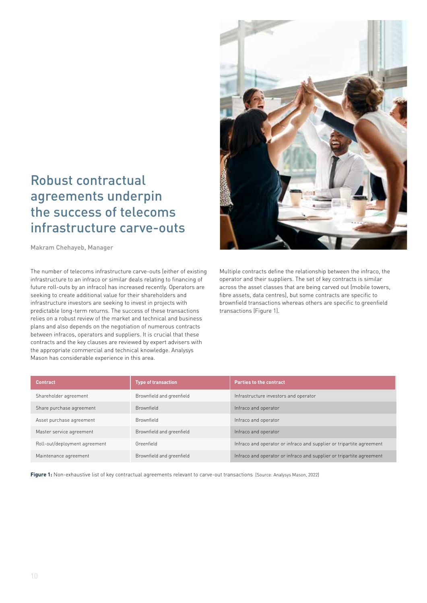## Robust contractual agreements underpin the success of telecoms infrastructure carve-outs

Makram Chehayeb, Manager 

The number of telecoms infrastructure carve-outs (either of existing infrastructure to an infraco or similar deals relating to financing of future roll-outs by an infraco) has increased recently. Operators are seeking to create additional value for their shareholders and infrastructure investors are seeking to invest in projects with predictable long-term returns. The success of these transactions relies on a robust review of the market and technical and business plans and also depends on the negotiation of numerous contracts between infracos, operators and suppliers. It is crucial that these contracts and the key clauses are reviewed by expert advisers with the appropriate commercial and technical knowledge. Analysys Mason has considerable experience in this area.



Multiple contracts define the relationship between the infraco, the operator and their suppliers. The set of key contracts is similar across the asset classes that are being carved out (mobile towers, fibre assets, data centres), but some contracts are specific to brownfield transactions whereas others are specific to greenfield transactions (Figure 1).

| <b>Contract</b>               | <b>Type of transaction</b> | <b>Parties to the contract</b>                                       |
|-------------------------------|----------------------------|----------------------------------------------------------------------|
| Shareholder agreement         | Brownfield and greenfield  | Infrastructure investors and operator                                |
| Share purchase agreement      | <b>Brownfield</b>          | Infraco and operator                                                 |
| Asset purchase agreement      | <b>Brownfield</b>          | Infraco and operator                                                 |
| Master service agreement      | Brownfield and greenfield  | Infraco and operator                                                 |
| Roll-out/deployment agreement | Greenfield                 | Infraco and operator or infraco and supplier or tripartite agreement |
| Maintenance agreement         | Brownfield and greenfield  | Infraco and operator or infraco and supplier or tripartite agreement |

**Figure 1:** Non-exhaustive list of key contractual agreements relevant to carve-out transactions [Source: Analysys Mason, 2022]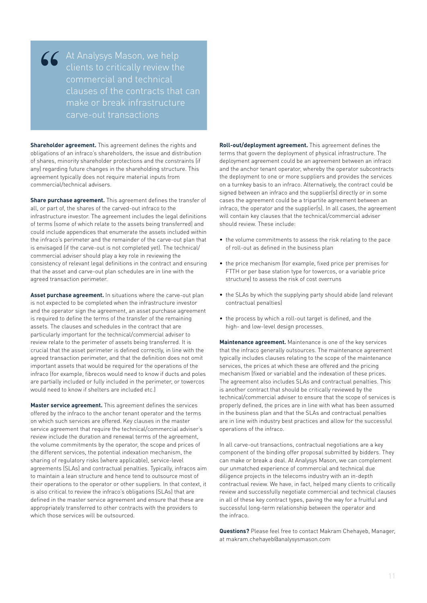<sup>"</sup>

At Analysys Mason, we help commercial and technical clauses of the contracts that can make or break infrastructure carve-out transactions

**Shareholder agreement.** This agreement defines the rights and obligations of an infraco's shareholders, the issue and distribution of shares, minority shareholder protections and the constraints (if any) regarding future changes in the shareholding structure. This agreement typically does not require material inputs from commercial/technical advisers.

**Share purchase agreement.** This agreement defines the transfer of all, or part of, the shares of the carved-out infraco to the infrastructure investor. The agreement includes the legal definitions of terms (some of which relate to the assets being transferred) and could include appendices that enumerate the assets included within the infraco's perimeter and the remainder of the carve-out plan that is envisaged (if the carve-out is not completed yet). The technical/ commercial adviser should play a key role in reviewing the consistency of relevant legal definitions in the contract and ensuring that the asset and carve-out plan schedules are in line with the agreed transaction perimeter.

**Asset purchase agreement.** In situations where the carve-out plan is not expected to be completed when the infrastructure investor and the operator sign the agreement, an asset purchase agreement is required to define the terms of the transfer of the remaining assets. The clauses and schedules in the contract that are particularly important for the technical/commercial adviser to review relate to the perimeter of assets being transferred. It is crucial that the asset perimeter is defined correctly, in line with the agreed transaction perimeter, and that the definition does not omit important assets that would be required for the operations of the infraco (for example, fibrecos would need to know if ducts and poles are partially included or fully included in the perimeter, or towercos would need to know if shelters are included etc.)

**Master service agreement.** This agreement defines the services offered by the infraco to the anchor tenant operator and the terms on which such services are offered. Key clauses in the master service agreement that require the technical/commercial adviser's review include the duration and renewal terms of the agreement, the volume commitments by the operator, the scope and prices of the different services, the potential indexation mechanism, the sharing of regulatory risks (where applicable), service-level agreements (SLAs) and contractual penalties. Typically, infracos aim to maintain a lean structure and hence tend to outsource most of their operations to the operator or other suppliers. In that context, it is also critical to review the infraco's obligations (SLAs) that are defined in the master service agreement and ensure that these are appropriately transferred to other contracts with the providers to which those services will be outsourced.

**Roll-out/deployment agreement.** This agreement defines the terms that govern the deployment of physical infrastructure. The deployment agreement could be an agreement between an infraco and the anchor tenant operator, whereby the operator subcontracts the deployment to one or more suppliers and provides the services on a turnkey basis to an infraco. Alternatively, the contract could be signed between an infraco and the supplier(s) directly or in some cases the agreement could be a tripartite agreement between an infraco, the operator and the supplier(s). In all cases, the agreement will contain key clauses that the technical/commercial adviser should review. These include:

- the volume commitments to assess the risk relating to the pace of roll-out as defined in the business plan
- the price mechanism (for example, fixed price per premises for FTTH or per base station type for towercos, or a variable price structure) to assess the risk of cost overruns
- the SLAs by which the supplying party should abide (and relevant contractual penalties)
- the process by which a roll-out target is defined, and the high- and low-level design processes.

**Maintenance agreement.** Maintenance is one of the key services that the infraco generally outsources. The maintenance agreement typically includes clauses relating to the scope of the maintenance services, the prices at which these are offered and the pricing mechanism (fixed or variable) and the indexation of these prices. The agreement also includes SLAs and contractual penalties. This is another contract that should be critically reviewed by the technical/commercial adviser to ensure that the scope of services is properly defined, the prices are in line with what has been assumed in the business plan and that the SLAs and contractual penalties are in line with industry best practices and allow for the successful operations of the infraco.

In all carve-out transactions, contractual negotiations are a key component of the binding offer proposal submitted by bidders. They can make or break a deal. At Analysys Mason, we can complement our unmatched experience of commercial and technical due diligence projects in the telecoms industry with an in-depth contractual review. We have, in fact, helped many clients to critically review and successfully negotiate commercial and technical clauses in all of these key contract types, paving the way for a fruitful and successful long-term relationship between the operator and the infraco.

**Questions?** Please feel free to contact Makram Chehayeb, Manager, at makram.chehayeb@analysysmason.com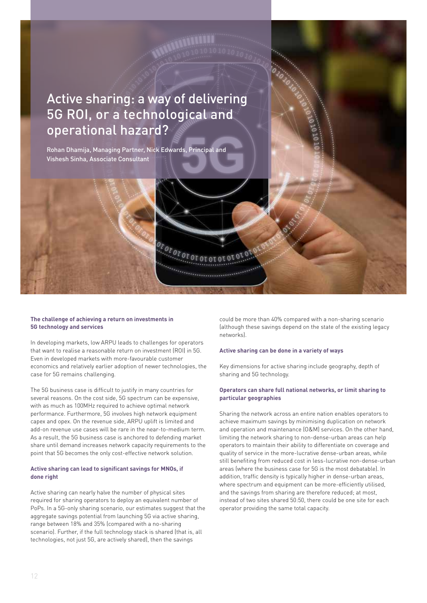## Active sharing: a way of delivering 5G ROI, or a technological and operational hazard?

**Contractor** 

Rohan Dhamija, Managing Partner, Nick Edwards, Principal and Vishesh Sinha, Associate Consultant

#### **The challenge of achieving a return on investments in 5G technology and services**

In developing markets, low ARPU leads to challenges for operators that want to realise a reasonable return on investment (ROI) in 5G. Even in developed markets with more-favourable customer economics and relatively earlier adoption of newer technologies, the case for 5G remains challenging.

The 5G business case is difficult to justify in many countries for several reasons. On the cost side, 5G spectrum can be expensive, with as much as 100MHz required to achieve optimal network performance. Furthermore, 5G involves high network equipment capex and opex. On the revenue side, ARPU uplift is limited and add-on revenue use cases will be rare in the near-to-medium term. As a result, the 5G business case is anchored to defending market share until demand increases network capacity requirements to the point that 5G becomes the only cost-effective network solution.

#### **Active sharing can lead to significant savings for MNOs, if done right**

Active sharing can nearly halve the number of physical sites required for sharing operators to deploy an equivalent number of PoPs. In a 5G-only sharing scenario, our estimates suggest that the aggregate savings potential from launching 5G via active sharing, range between 18% and 35% (compared with a no-sharing scenario). Further, if the full technology stack is shared (that is, all technologies, not just 5G, are actively shared), then the savings

could be more than 40% compared with a non-sharing scenario (although these savings depend on the state of the existing legacy networks).

#### **Active sharing can be done in a variety of ways**

Key dimensions for active sharing include geography, depth of sharing and 5G technology.

#### **Operators can share full national networks, or limit sharing to particular geographies**

Sharing the network across an entire nation enables operators to achieve maximum savings by minimising duplication on network and operation and maintenance (O&M) services. On the other hand, limiting the network sharing to non-dense-urban areas can help operators to maintain their ability to differentiate on coverage and quality of service in the more-lucrative dense-urban areas, while still benefiting from reduced cost in less-lucrative non-dense-urban areas (where the business case for 5G is the most debatable). In addition, traffic density is typically higher in dense-urban areas, where spectrum and equipment can be more-efficiently utilised. and the savings from sharing are therefore reduced; at most, instead of two sites shared 50:50, there could be one site for each operator providing the same total capacity.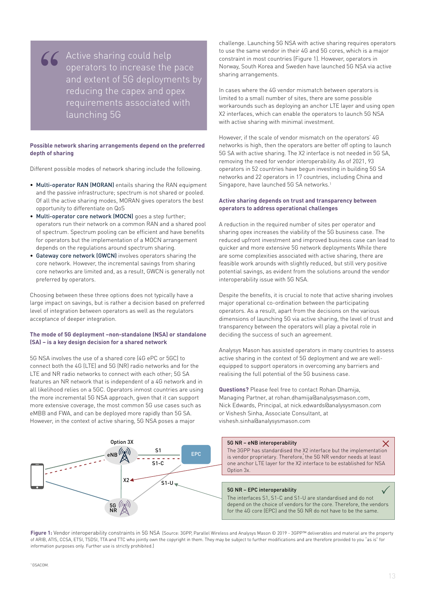**66** Active sharing could help<br>
operators to increase the<br>
and extent of 5G deployme<br>
reducing the capex and op operators to increase the pace and extent of 5G deployments by reducing the capex and opex requirements associated with launching 5G

#### **Possible network sharing arrangements depend on the preferred depth of sharing**

Different possible modes of network sharing include the following.

- Multi-operator RAN (MORAN) entails sharing the RAN equipment and the passive infrastructure; spectrum is not shared or pooled. Of all the active sharing modes, MORAN gives operators the best opportunity to differentiate on QoS
- Multi-operator core network (MOCN) goes a step further; operators run their network on a common RAN and a shared pool of spectrum. Spectrum pooling can be efficient and have benefits for operators but the implementation of a MOCN arrangement depends on the regulations around spectrum sharing.
- Gateway core network (GWCN) involves operators sharing the core network. However, the incremental savings from sharing core networks are limited and, as a result, GWCN is generally not preferred by operators.

Choosing between these three options does not typically have a large impact on savings, but is rather a decision based on preferred level of integration between operators as well as the regulators acceptance of deeper integration.

#### **The mode of 5G deployment –non-standalone (NSA) or standalone (SA) – is a key design decision for a shared network**

5G NSA involves the use of a shared core (4G ePC or 5GC) to connect both the 4G (LTE) and 5G (NR) radio networks and for the LTE and NR radio networks to connect with each other; 5G SA features an NR network that is independent of a 4G network and in all likelihood relies on a 5GC. Operators inmost countries are using the more incremental 5G NSA approach, given that it can support more extensive coverage, the most common 5G use cases such as eMBB and FWA, and can be deployed more rapidly than 5G SA. However, in the context of active sharing, 5G NSA poses a major

challenge. Launching 5G NSA with active sharing requires operators to use the same vendor in their 4G and 5G cores, which is a major constraint in most countries (Figure 1). However, operators in Norway, South Korea and Sweden have launched 5G NSA via active sharing arrangements.

In cases where the 4G vendor mismatch between operators is limited to a small number of sites, there are some possible workarounds such as deploying an anchor LTE layer and using open X2 interfaces, which can enable the operators to launch 5G NSA with active sharing with minimal investment.

However, if the scale of vendor mismatch on the operators' 4G networks is high, then the operators are better off opting to launch 5G SA with active sharing. The X2 interface is not needed in 5G SA, removing the need for vendor interoperability. As of 2021, 93 operators in 52 countries have begun investing in building 5G SA networks and 22 operators in 17 countries, including China and Singapore, have launched 5G SA networks.1

#### **Active sharing depends on trust and transparency between operators to address operational challenges**

A reduction in the required number of sites per operator and sharing opex increases the viability of the 5G business case. The reduced upfront investment and improved business case can lead to quicker and more extensive 5G network deployments While there are some complexities associated with active sharing, there are feasible work arounds with slightly reduced, but still very positive potential savings, as evident from the solutions around the vendor interoperability issue with 5G NSA.

Despite the benefits, it is crucial to note that active sharing involves major operational co-ordination between the participating operators. As a result, apart from the decisions on the various dimensions of launching 5G via active sharing, the level of trust and transparency between the operators will play a pivotal role in deciding the success of such an agreement.

Analysys Mason has assisted operators in many countries to assess active sharing in the context of 5G deployment and we are wellequipped to support operators in overcoming any barriers and realising the full potential of the 5G business case.

**Questions?** Please feel free to contact Rohan Dhamija, Managing Partner, at rohan.dhamija@analysysmason.com, Nick Edwards, Principal, at nick.edwards@analysysmason.com or Vishesh Sinha, Associate Consultant, at vishesh.sinha@analysysmason.com



**Figure 1:** Vendor interoperability constraints in 5G NSA [Source: 3GPP, Parallel Wireless and Analysys Mason © 2019 - 3GPP™ deliverables and material are the property of ARIB, ATIS, CCSA, ETSI, TSDSI, TTA and TTC who jointly own the copyright in them. They may be subject to further modifications and are therefore provided to you "as is" for information purposes only. Further use is strictly prohibited.]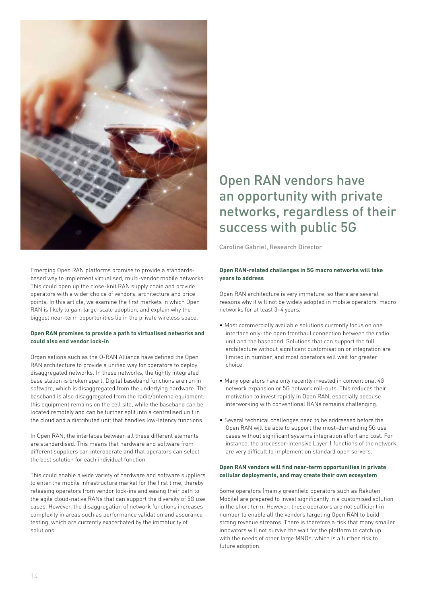

Emerging Open RAN platforms promise to provide a standardsbased way to implement virtualised, multi-vendor mobile networks. This could open up the close-knit RAN supply chain and provide operators with a wider choice of vendors, architecture and price points. In this article, we examine the first markets in which Open RAN is likely to gain large-scale adoption, and explain why the biggest near-term opportunities lie in the private wireless space.

#### **Open RAN promises to provide a path to virtualised networks and could also end vendor lock-in**

Organisations such as the O-RAN Alliance have defined the Open RAN architecture to provide a unified way for operators to deploy disaggregated networks. In these networks, the tightly integrated base station is broken apart. Digital baseband functions are run in software, which is disaggregated from the underlying hardware. The baseband is also disaggregated from the radio/antenna equipment; this equipment remains on the cell site, while the baseband can be located remotely and can be further split into a centralised unit in the cloud and a distributed unit that handles low-latency functions.

In Open RAN, the interfaces between all these different elements are standardised. This means that hardware and software from different suppliers can interoperate and that operators can select the best solution for each individual function.

This could enable a wide variety of hardware and software suppliers to enter the mobile infrastructure market for the first time, thereby releasing operators from vendor lock-ins and easing their path to the agile cloud-native RANs that can support the diversity of 5G use cases. However, the disaggregation of network functions increases complexity in areas such as performance validation and assurance testing, which are currently exacerbated by the immaturity of solutions.

## Open RAN vendors have an opportunity with private networks, regardless of their success with public 5G

Caroline Gabriel, Research Director 

#### **Open RAN-related challenges in 5G macro networks will take years to address**

Open RAN architecture is very immature, so there are several reasons why it will not be widely adopted in mobile operators' macro networks for at least 3–4 years.

- Most commercially available solutions currently focus on one interface only: the open fronthaul connection between the radio unit and the baseband. Solutions that can support the full architecture without significant customisation or integration are limited in number, and most operators will wait for greater choice.
- Many operators have only recently invested in conventional 4G network expansion or 5G network roll-outs. This reduces their motivation to invest rapidly in Open RAN, especially because interworking with conventional RANs remains challenging.
- Several technical challenges need to be addressed before the Open RAN will be able to support the most-demanding 5G use cases without significant systems integration effort and cost. For instance, the processor-intensive Layer 1 functions of the network are very difficult to implement on standard open servers.

#### **Open RAN vendors will find near-term opportunities in private cellular deployments, and may create their own ecosystem**

Some operators (mainly greenfield operators such as Rakuten Mobile) are prepared to invest significantly in a customised solution in the short term. However, these operators are not sufficient in number to enable all the vendors targeting Open RAN to build strong revenue streams. There is therefore a risk that many smaller innovators will not survive the wait for the platform to catch up with the needs of other large MNOs, which is a further risk to future adoption.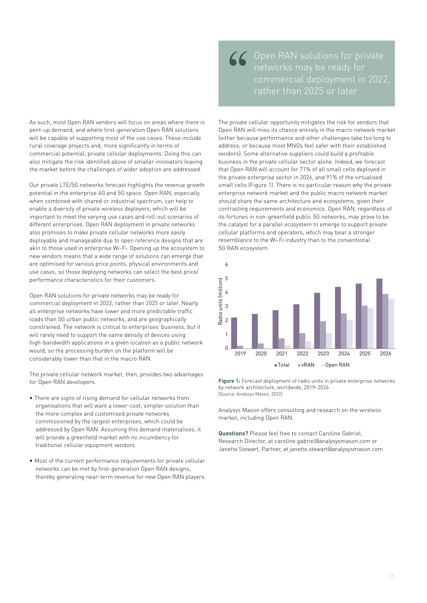As such, most Open RAN vendors will focus on areas where there is pent-up demand, and where first-generation Open RAN solutions will be capable of supporting most of the use cases. These include rural coverage projects and, more significantly in terms of commercial potential, private cellular deployments. Doing this can also mitigate the risk identified above of smaller innovators leaving the market before the challenges of wider adoption are addressed.

Our private LTE/5G networks forecast highlights the revenue growth potential in the enterprise 4G and 5G space. Open RAN, especially when combined with shared or industrial spectrum, can help to enable a diversity of private wireless deployers, which will be important to meet the varying use cases and roll-out scenarios of different enterprises. Open RAN deployment in private networks also promises to make private cellular networks more easily deployable and manageable due to open reference designs that are acployable and manageable due to open reference designs that are<br>akin to those used in enterprise Wi-Fi. Opening up the ecosystem to new vendors means that a wide range of solutions can emerge that are optimised for various price points, physical environments and use cases, so those deploying networks can select the best price/ performance characteristics for their customers. The 3GPP has standardised the X2 interface but the implementation is vendor proprietary. Therefore, the 5G NR vendor needs at least one anchor LTE layer for the X2 interface to be established for  $\alpha$ 

Open RAN solutions for private networks may be ready for commercial deployment in 2022, rather than 2025 or later. Nearly all enterprise networks have lower and more predictable traffic loads than 5G urban public networks, and are geographically constrained. The network is critical to enterprises' business, but it will rarely need to support the same density of devices using high-bandwidth applications in a given location as a public network would, so the processing burden on the platform will be considerably lower than that in the macro RAN. depend on the choice of vendors for the core. Therefore, the vendors for the 4G core (EPC) and the 5G NR do not have to be the same.

> The private cellular network market, then, provides two advantages for Open RAN developers.

- There are signs of rising demand for cellular networks from organisations that will want a lower-cost, simpler solution than the more complex and customised private networks commissioned by the largest enterprises, which could be addressed by Open RAN. Assuming this demand materialises, it will provide a greenfield market with no incumbency for traditional cellular equipment vendors.
- Most of the current performance requirements for private cellular networks can be met by first-generation Open RAN designs, thereby generating near-term revenue for new Open RAN players.

CC Open RAN solutions for private<br>
networks may be ready for<br>
commercial deployment in 2022<br>
rather than 2025 or later networks may be ready for rather than 2025 or later

The private cellular opportunity mitigates the risk for vendors that Open RAN will miss its chance entirely in the macro network market (either because performance and other challenges take too long to address, or because most MNOs feel safer with their established vendors). Some alternative suppliers could build a profitable business in the private cellular sector alone. Indeed, we forecast that Open RAN will account for 71% of all small cells deployed in the private enterprise sector in 2026, and 91% of the virtualised small cells (Figure 1). There is no particular reason why the private enterprise network market and the public macro network market should share the same architecture and ecosystems, given their contrasting requirements and economics. Open RAN, regardless of its fortunes in non-greenfield public 5G networks, may prove to be the catalyst for a parallel ecosystem to emerge to support private cellular platforms and operators, which may bear a stronger resemblance to the Wi-Fi industry than to the conventional 5G RAN ecosystem.



**Figure 1:** Forecast deployment of radio units in private enterprise networks by network architecture, worldwide, 2019–2026 [Source: Analysys Mason, 2022]

Analysys Mason offers consulting and research on the wireless 100% market, including Open RAN.

**Questions?** Please feel free to contact Caroline Gabriel, Research Director, at caroline.gabriel@analysysmason.com or Janette Stewart, Partner, at janette.stewart@analysysmason.com 50% m<br>**Qu**<br>Ja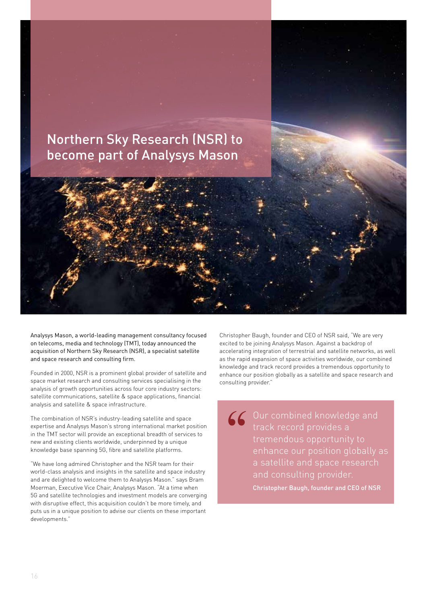

Analysys Mason, a world-leading management consultancy focused on telecoms, media and technology (TMT), today announced the acquisition of Northern Sky Research (NSR), a specialist satellite and space research and consulting firm.

Founded in 2000, NSR is a prominent global provider of satellite and space market research and consulting services specialising in the analysis of growth opportunities across four core industry sectors: satellite communications, satellite & space applications, financial analysis and satellite & space infrastructure.

The combination of NSR's industry-leading satellite and space expertise and Analysys Mason's strong international market position in the TMT sector will provide an exceptional breadth of services to new and existing clients worldwide, underpinned by a unique knowledge base spanning 5G, fibre and satellite platforms.

"We have long admired Christopher and the NSR team for their world-class analysis and insights in the satellite and space industry and are delighted to welcome them to Analysys Mason." says Bram Moerman, Executive Vice Chair, Analysys Mason. "At a time when 5G and satellite technologies and investment models are converging with disruptive effect, this acquisition couldn't be more timely, and puts us in a unique position to advise our clients on these important developments."

Christopher Baugh, founder and CEO of NSR said, "We are very excited to be joining Analysys Mason. Against a backdrop of accelerating integration of terrestrial and satellite networks, as well as the rapid expansion of space activities worldwide, our combined knowledge and track record provides a tremendous opportunity to enhance our position globally as a satellite and space research and consulting provider."

66 Our combined knowledge and<br>
track record provides a<br>
tremendous opportunity to<br>
enhance our position globally track record provides a tremendous opportunity to enhance our position globally as a satellite and space research and consulting provider. Christopher Baugh, founder and CEO of NSR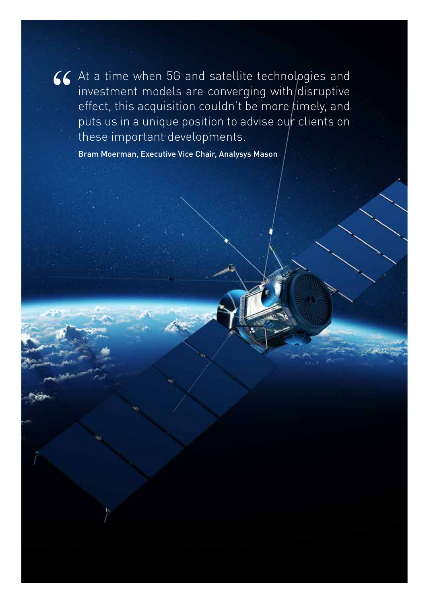**66** At a time when 5G and satellite technologies and investment models are converging with disruptive effect, this acquisition couldn't be more timely, and puts us in a unique position to advise our clients on investment models are converging with disruptive effect, this acquisition couldn't be more timely, and puts us in a unique position to advise our clients on these important developments.

Bram Moerman, Executive Vice Chair, Analysys Mason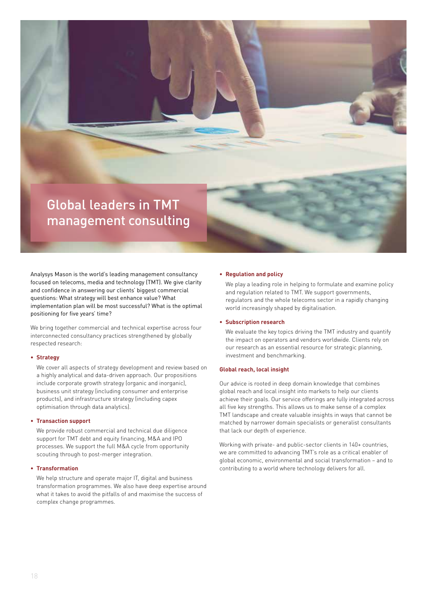

Analysys Mason is the world's leading management consultancy focused on telecoms, media and technology (TMT). We give clarity and confidence in answering our clients' biggest commercial questions: What strategy will best enhance value? What implementation plan will be most successful? What is the optimal positioning for five years' time?

We bring together commercial and technical expertise across four interconnected consultancy practices strengthened by globally respected research:

#### **• Strategy**

We cover all aspects of strategy development and review based on a highly analytical and data-driven approach. Our propositions include corporate growth strategy (organic and inorganic), business unit strategy (including consumer and enterprise products), and infrastructure strategy (including capex optimisation through data analytics).

#### **• Transaction support**

We provide robust commercial and technical due diligence support for TMT debt and equity financing, M&A and IPO processes. We support the full M&A cycle from opportunity scouting through to post-merger integration.

#### **• Transformation**

We help structure and operate major IT, digital and business transformation programmes. We also have deep expertise around what it takes to avoid the pitfalls of and maximise the success of complex change programmes.

#### **• Regulation and policy**

We play a leading role in helping to formulate and examine policy and regulation related to TMT. We support governments, regulators and the whole telecoms sector in a rapidly changing world increasingly shaped by digitalisation.

#### **• Subscription research**

We evaluate the key topics driving the TMT industry and quantify the impact on operators and vendors worldwide. Clients rely on our research as an essential resource for strategic planning, investment and benchmarking.

#### **Global reach, local insight**

Our advice is rooted in deep domain knowledge that combines global reach and local insight into markets to help our clients achieve their goals. Our service offerings are fully integrated across all five key strengths. This allows us to make sense of a complex TMT landscape and create valuable insights in ways that cannot be matched by narrower domain specialists or generalist consultants that lack our depth of experience.

Working with private- and public-sector clients in 140+ countries, we are committed to advancing TMT's role as a critical enabler of global economic, environmental and social transformation – and to contributing to a world where technology delivers for all.